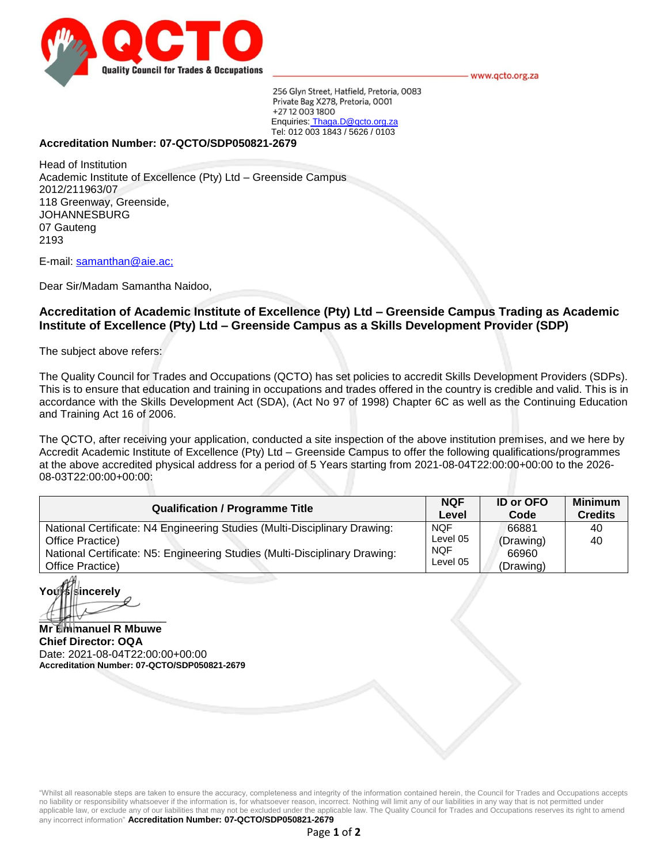

www.qcto.org.za

256 Glyn Street, Hatfield, Pretoria, 0083 Private Bag X278, Pretoria, 0001 +27 12 003 1800 Enquiries: Thaga.D@qcto.org.za Tel: 012 003 1843 / 5626 / 0103

# **Accreditation Number: 07-QCTO/SDP050821-2679**

Head of Institution Academic Institute of Excellence (Pty) Ltd – Greenside Campus 2012/211963/07 118 Greenway, Greenside, JOHANNESBURG 07 Gauteng 2193

E-mail: samanthan@aie.ac;

Dear Sir/Madam Samantha Naidoo,

# **Accreditation of Academic Institute of Excellence (Pty) Ltd – Greenside Campus Trading as Academic Institute of Excellence (Pty) Ltd – Greenside Campus as a Skills Development Provider (SDP)**

The subject above refers:

The Quality Council for Trades and Occupations (QCTO) has set policies to accredit Skills Development Providers (SDPs). This is to ensure that education and training in occupations and trades offered in the country is credible and valid. This is in accordance with the Skills Development Act (SDA), (Act No 97 of 1998) Chapter 6C as well as the Continuing Education and Training Act 16 of 2006.

The QCTO, after receiving your application, conducted a site inspection of the above institution premises, and we here by Accredit Academic Institute of Excellence (Pty) Ltd – Greenside Campus to offer the following qualifications/programmes at the above accredited physical address for a period of 5 Years starting from 2021-08-04T22:00:00+00:00 to the 2026- 08-03T22:00:00+00:00:

| <b>Qualification / Programme Title</b>                                                                                                                                                          | <b>NQF</b>                                       | <b>ID or OFO</b>                         | <b>Minimum</b> |
|-------------------------------------------------------------------------------------------------------------------------------------------------------------------------------------------------|--------------------------------------------------|------------------------------------------|----------------|
|                                                                                                                                                                                                 | Level                                            | Code                                     | <b>Credits</b> |
| National Certificate: N4 Engineering Studies (Multi-Disciplinary Drawing:<br>Office Practice)<br>National Certificate: N5: Engineering Studies (Multi-Disciplinary Drawing:<br>Office Practice) | <b>NOF</b><br>Level 05<br><b>NOF</b><br>Level 05 | 66881<br>(Drawing)<br>66960<br>(Drawing) | 40<br>40       |

**ncerely**  $\left\langle \uparrow \right\rangle$ 

**Mr Emmanuel R Mbuwe Chief Director: OQA** Date: 2021-08-04T22:00:00+00:00 **Accreditation Number: 07-QCTO/SDP050821-2679**

"Whilst all reasonable steps are taken to ensure the accuracy, completeness and integrity of the information contained herein, the Council for Trades and Occupations accepts no liability or responsibility whatsoever if the information is, for whatsoever reason, incorrect. Nothing will limit any of our liabilities in any way that is not permitted under applicable law, or exclude any of our liabilities that may not be excluded under the applicable law. The Quality Council for Trades and Occupations reserves its right to amend any incorrect information" **Accreditation Number: 07-QCTO/SDP050821-2679**